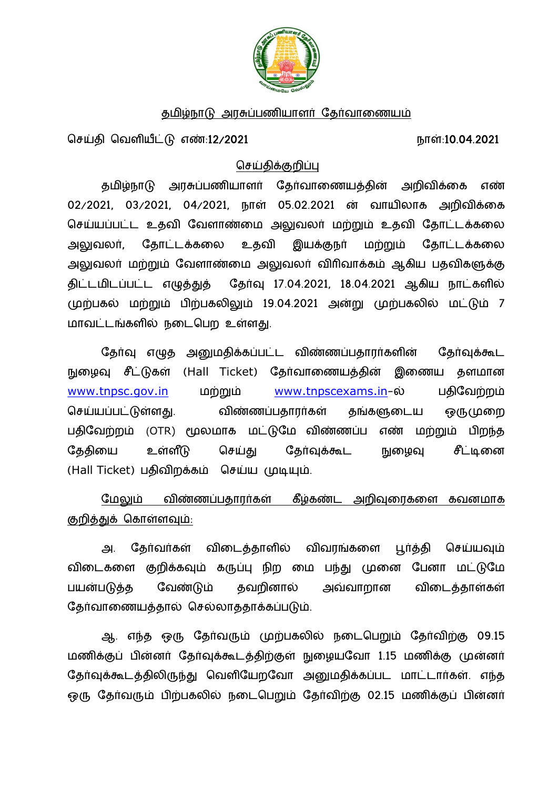

### தமிழ்நாடு அரசுப்பணியாளர் தேர்வாணையம்

ொள்:10.04.2021 நாள்:10.04.2021 நாள்:10.04.2021

### <u>செய்திக்குறிப்பு</u>

தமிழ்நாடு அரசுப்பணியாளர் தேர்வாணையத்தின் அறிவிக்கை எண் 02/2021, 03/2021, 04/2021, நாள் 05.02.2021 ன் வாயிலாக அறிவிக்கை செய்யப்பட்ட உதவி வேளாண்மை அலுவலர் மற்றும் உதவி தோட்டக்கலை அலுவலர், தோட்டக்கலை உதவி இயக்குநர் மற்றும் தோட்டக்கலை அலுவலா் மற்றும் வேளாண்மை அலுவலா் விரிவாக்கம் ஆகிய பதவிகளுக்கு திட்டமிடப்பட்ட எழுத்துத் தேர்வு 17.04.2021, 18.04.2021 ஆகிய நாட்களில் முற்பகல் மற்றும் பிற்பகலிலும் 19.04.2021 அன்று முற்பகலில் மட்டும் 7 மாவட்டங்களில் நடைபெற உள்ளது.

தேர்வு எழுத அனுமதிக்கப்பட்ட விண்ணப்பதாரர்களின் தேர்வுக்கூட நுழைவு சீட்டுகள் (Hall Ticket) தேர்வாணையத்தின் இணைய தளமான www.tnpsc.gov.in மற்றும் www.tnpscexams.in-ல் பதிவேற்றம் செய்யப்பட்டுள்ளது. விண்ணப்பதாரர்கள் தங்களுடைய ஒருமுறை பதிவேற்றம் (OTR) மூலமாக மட்டுமே விண்ணப்ப எண் மற்றும் பிறந்த தேதியை உள்ளீடு செய்து தேர்வுக்கூட நுழைவு சீட்டினை (Hall Ticket) பதிவிறக்கம் செய்ய முடியும்.

மேலும் விண்ணப்பதாரர்கள் கீழ்கண்ட அறிவுரைகளை கவனமாக குறித்துக் கொள்ளவும்:

அ. தேர்வர்கள் விடைத்தாளில் விவரங்களை பூர்த்தி செய்யவும் விடைகளை குறிக்கவும் கருப்பு நிற மை பந்து முனை பேனா மட்டுமே பயன்படுத்த வேண்டும் தவறினால் அவ்வாறான விடைத்தாள்கள் தேர்வாணையத்தால் செல்லாததாக்கப்படும்.

ஆ. எந்த ஒரு தேர்வரும் முற்பகலில் நடைபெறும் தேர்விற்கு 09.15 மணிக்குப் பின்னர் தேர்வுக்கூடத்திற்குள் நுழையவோ 1.15 மணிக்கு முன்னர் தேர்வுக்கூடத்திலிருந்து வெளியேறவோ அனுமதிக்கப்பட மாட்டார்கள். எந்த ஒரு தேர்வரும் பிற்பகலில் நடைபெறும் தேர்விற்கு 02.15 மணிக்குப் பின்னர்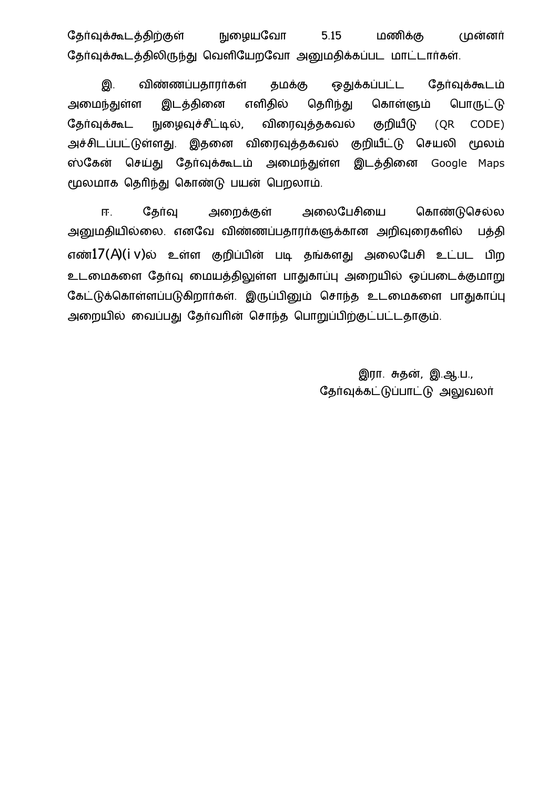தேர்வுக்கூடத்திற்குள் நுழையவோ 5.15 மணிக்கு முன்னர் தேர்வுக்கூடத்திலிருந்து வெளியேறவோ அனுமதிக்கப்பட மாட்டார்கள்.

இ. விண்ணப்பதாரர்கள் தமக்கு ஒதுக்கப்பட்ட தேர்வுக்கூடம் அமைந்துள்ள இடத்தினை எளிதில் தெரிந்து கொள்ளும் பொருட்டு தேர்வுக்கூட நுழைவுச்சீட்டில், விரைவுத்தகவல் குறியீடு (QR CODE) அச்சிடப்பட்டுள்ளது. இதனை விரைவுத்தகவல் குறியீட்டு செயலி மூலம் ஸ்கேன் செய்து தேர்வுக்கூடம் அமைந்துள்ள இடத்தினை Google Maps மூலமாக தெரிந்து கொண்டு பயன் பெறலாம்.

ஈ. கேர்வ அறைக்கள் அலைபேசியை கொண்டுசெல்ல அனுமதியில்லை. எனவே விண்ணப்பதாரர்களுக்கான அறிவுரைகளில் பத்தி எண் $17(A)(i \text{ v})$ ல் உள்ள குறிப்பின் படி தங்களது அலைபேசி உட்பட பிற உடமைகளை தேர்வு மையத்திலுள்ள பாதுகாப்பு அறையில் ஒப்படைக்குமாறு கேட்டுக்கொள்ளப்படுகிறார்கள். இருப்பினும் சொந்த உடமைகளை பாதுகாப்பு அறையில் வைப்பது தேர்வரின் சொந்த பொறுப்பிற்குட்பட்டதாகும்.

> இரா. சுதன், இ.ஆ.ப., தேர்வுக்கட்டுப்பாட்டு அலுவலர்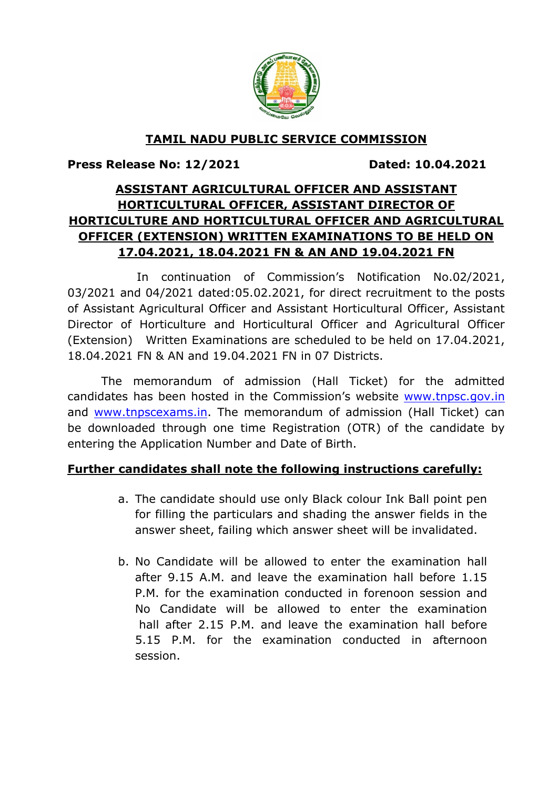

## TAMIL NADU PUBLIC SERVICE COMMISSION

Press Release No: 12/2021 Dated: 10.04.2021

# ASSISTANT AGRICULTURAL OFFICER AND ASSISTANT HORTICULTURAL OFFICER, ASSISTANT DIRECTOR OF HORTICULTURE AND HORTICULTURAL OFFICER AND AGRICULTURAL OFFICER (EXTENSION) WRITTEN EXAMINATIONS TO BE HELD ON 17.04.2021, 18.04.2021 FN & AN AND 19.04.2021 FN

 In continuation of Commission's Notification No.02/2021, 03/2021 and 04/2021 dated:05.02.2021, for direct recruitment to the posts of Assistant Agricultural Officer and Assistant Horticultural Officer, Assistant Director of Horticulture and Horticultural Officer and Agricultural Officer (Extension) Written Examinations are scheduled to be held on 17.04.2021, 18.04.2021 FN & AN and 19.04.2021 FN in 07 Districts.

 The memorandum of admission (Hall Ticket) for the admitted candidates has been hosted in the Commission's website www.tnpsc.gov.in and www.tnpscexams.in. The memorandum of admission (Hall Ticket) can be downloaded through one time Registration (OTR) of the candidate by entering the Application Number and Date of Birth.

### Further candidates shall note the following instructions carefully:

- a. The candidate should use only Black colour Ink Ball point pen for filling the particulars and shading the answer fields in the answer sheet, failing which answer sheet will be invalidated.
- b. No Candidate will be allowed to enter the examination hall after 9.15 A.M. and leave the examination hall before 1.15 P.M. for the examination conducted in forenoon session and No Candidate will be allowed to enter the examination hall after 2.15 P.M. and leave the examination hall before 5.15 P.M. for the examination conducted in afternoon session.